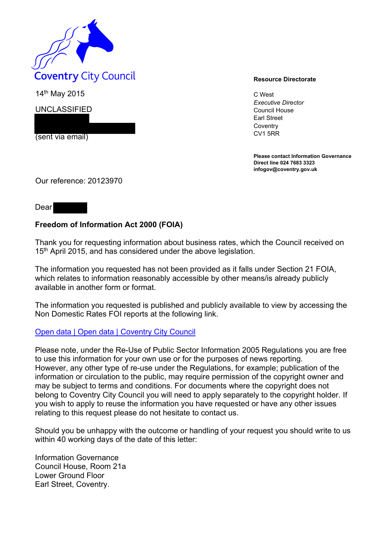

14<sup>th</sup> May 2015 **C** West

UNCLASSIFIED

(sent via email)

*Executive Director*  Council House Earl Street **Coventry** CV1 5RR

**Please contact Information Governance Direct line 024 7683 3323 infogov@coventry.gov.uk** 

Our reference: 20123970

## Dear

## **Freedom of Information Act 2000 (FOIA)**

Thank you for requesting information about business rates, which the Council received on 15<sup>th</sup> April 2015, and has considered under the above legislation.

The information you requested has not been provided as it falls under Section 21 FOIA, which relates to information reasonably accessible by other means/is already publicly available in another form or format.

The information you requested is published and publicly available to view by accessing the Non Domestic Rates FOI reports at the following link.

## Open data | Open data | Coventry City Council

Please note, under the Re-Use of Public Sector Information 2005 Regulations you are free to use this information for your own use or for the purposes of news reporting. However, any other type of re-use under the Regulations, for example; publication of the information or circulation to the public, may require permission of the copyright owner and may be subject to terms and conditions. For documents where the copyright does not belong to Coventry City Council you will need to apply separately to the copyright holder. If you wish to apply to reuse the information you have requested or have any other issues relating to this request please do not hesitate to contact us.

Should you be unhappy with the outcome or handling of your request you should write to us within 40 working days of the date of this letter:

Information Governance Council House, Room 21a Lower Ground Floor Earl Street, Coventry.